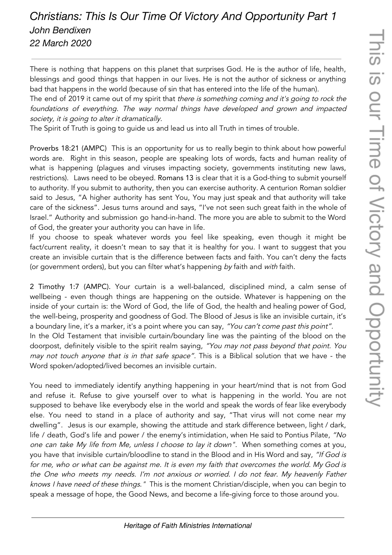## *Christians: This Is Our Time Of Victory And Opportunity Part 1 John Bendixen 22 March 2020*

There is nothing that happens on this planet that surprises God. He is the author of life, health, blessings and good things that happen in our lives. He is not the author of sickness or anything bad that happens in the world (because of sin that has entered into the life of the human).

The end of 2019 it came out of my spirit that there is something coming and it's going to rock the foundations of everything. The way normal things have developed and grown and impacted society, it is going to alter it dramatically.

The Spirit of Truth is going to guide us and lead us into all Truth in times of trouble.

Proverbs 18:21 (AMPC) This is an opportunity for us to really begin to think about how powerful words are. Right in this season, people are speaking lots of words, facts and human reality of what is happening (plagues and viruses impacting society, governments instituting new laws, restrictions). Laws need to be obeyed. Romans 13 is clear that it is a God-thing to submit yourself to authority. If you submit to authority, then you can exercise authority. A centurion Roman soldier said to Jesus, "A higher authority has sent You, You may just speak and that authority will take care of the sickness". Jesus turns around and says, "I've not seen such great faith in the whole of Israel." Authority and submission go hand-in-hand. The more you are able to submit to the Word of God, the greater your authority you can have in life.

If you choose to speak whatever words you feel like speaking, even though it might be fact/current reality, it doesn't mean to say that it is healthy for you. I want to suggest that you create an invisible curtain that is the difference between facts and faith. You can't deny the facts (or government orders), but you can filter what's happening by faith and with faith.

2 Timothy 1:7 (AMPC). Your curtain is a well-balanced, disciplined mind, a calm sense of wellbeing - even though things are happening on the outside. Whatever is happening on the inside of your curtain is: the Word of God, the life of God, the health and healing power of God, the well-being, prosperity and goodness of God. The Blood of Jesus is like an invisible curtain, it's a boundary line, it's a marker, it's a point where you can say, "You can't come past this point". In the Old Testament that invisible curtain/boundary line was the painting of the blood on the doorpost, definitely visible to the spirit realm saying, "You may not pass beyond that point. You may not touch anyone that is in that safe space". This is a Biblical solution that we have - the Word spoken/adopted/lived becomes an invisible curtain.

You need to immediately identify anything happening in your heart/mind that is not from God and refuse it. Refuse to give yourself over to what is happening in the world. You are not supposed to behave like everybody else in the world and speak the words of fear like everybody else. You need to stand in a place of authority and say, "That virus will not come near my dwelling". Jesus is our example, showing the attitude and stark difference between, light / dark, life / death, God's life and power / the enemy's intimidation, when He said to Pontius Pilate, "No one can take My life from Me, unless I choose to lay it down". When something comes at you, you have that invisible curtain/bloodline to stand in the Blood and in His Word and say, "If God is for me, who or what can be against me. It is even my faith that overcomes the world. My God is the One who meets my needs. I'm not anxious or worried. I do not fear. My heavenly Father knows I have need of these things." This is the moment Christian/disciple, when you can begin to speak a message of hope, the Good News, and become a life-giving force to those around you.